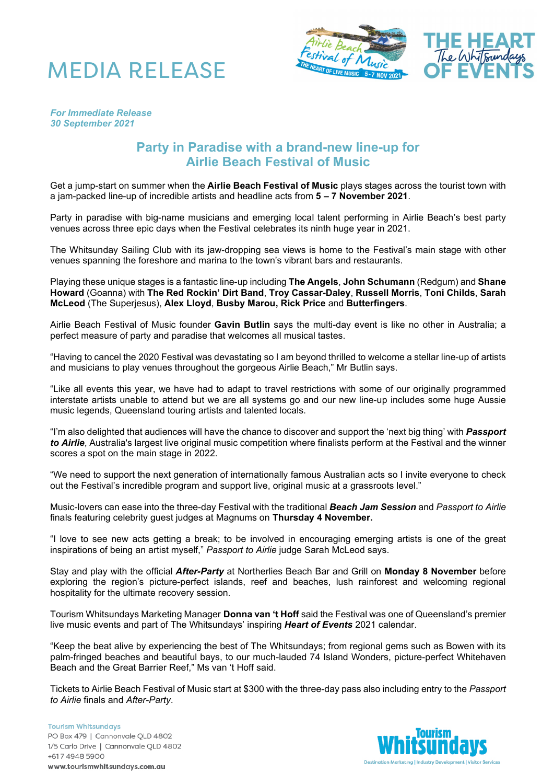



## *For Immediate Release 30 September 2021*

## **Party in Paradise with a brand-new line-up for Airlie Beach Festival of Music**

Get a jump-start on summer when the **Airlie Beach Festival of Music** plays stages across the tourist town with a jam-packed line-up of incredible artists and headline acts from **5 – 7 November 2021**.

Party in paradise with big-name musicians and emerging local talent performing in Airlie Beach's best party venues across three epic days when the Festival celebrates its ninth huge year in 2021.

The Whitsunday Sailing Club with its jaw-dropping sea views is home to the Festival's main stage with other venues spanning the foreshore and marina to the town's vibrant bars and restaurants.

Playing these unique stages is a fantastic line-up including **The Angels**, **John Schumann** (Redgum) and **Shane Howard** (Goanna) with **The Red Rockin' Dirt Band**, **Troy Cassar-Daley**, **Russell Morris**, **Toni Childs**, **Sarah McLeod** (The Superjesus), **Alex Lloyd**, **Busby Marou, Rick Price** and **Butterfingers**.

Airlie Beach Festival of Music founder **Gavin Butlin** says the multi-day event is like no other in Australia; a perfect measure of party and paradise that welcomes all musical tastes.

"Having to cancel the 2020 Festival was devastating so I am beyond thrilled to welcome a stellar line-up of artists and musicians to play venues throughout the gorgeous Airlie Beach," Mr Butlin says.

"Like all events this year, we have had to adapt to travel restrictions with some of our originally programmed interstate artists unable to attend but we are all systems go and our new line-up includes some huge Aussie music legends, Queensland touring artists and talented locals.

"I'm also delighted that audiences will have the chance to discover and support the 'next big thing' with *Passport to Airlie*, Australia's largest live original music competition where finalists perform at the Festival and the winner scores a spot on the main stage in 2022.

"We need to support the next generation of internationally famous Australian acts so I invite everyone to check out the Festival's incredible program and support live, original music at a grassroots level."

Music-lovers can ease into the three-day Festival with the traditional *Beach Jam Session* and *Passport to Airlie* finals featuring celebrity guest judges at Magnums on **Thursday 4 November.**

"I love to see new acts getting a break; to be involved in encouraging emerging artists is one of the great inspirations of being an artist myself," *Passport to Airlie* judge Sarah McLeod says.

Stay and play with the official *After-Party* at Northerlies Beach Bar and Grill on **Monday 8 November** before exploring the region's picture-perfect islands, reef and beaches, lush rainforest and welcoming regional hospitality for the ultimate recovery session.

Tourism Whitsundays Marketing Manager **Donna van 't Hoff** said the Festival was one of Queensland's premier live music events and part of The Whitsundays' inspiring *Heart of Events* 2021 calendar.

"Keep the beat alive by experiencing the best of The Whitsundays; from regional gems such as Bowen with its palm-fringed beaches and beautiful bays, to our much-lauded 74 Island Wonders, picture-perfect Whitehaven Beach and the Great Barrier Reef," Ms van 't Hoff said.

Tickets to Airlie Beach Festival of Music start at \$300 with the three-day pass also including entry to the *Passport to Airlie* finals and *After-Party*.

**Tourism Whitsundays** PO Box 479 | Cannonvale QLD 4802 1/5 Carlo Drive | Cannonvale QLD 4802 +617 4948 5900 www.tourismwhitsundays.com.au